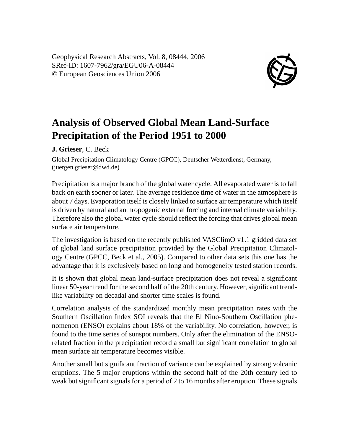Geophysical Research Abstracts, Vol. 8, 08444, 2006 SRef-ID: 1607-7962/gra/EGU06-A-08444 © European Geosciences Union 2006



## **Analysis of Observed Global Mean Land-Surface Precipitation of the Period 1951 to 2000**

**J. Grieser**, C. Beck

Global Precipitation Climatology Centre (GPCC), Deutscher Wetterdienst, Germany, (juergen.grieser@dwd.de)

Precipitation is a major branch of the global water cycle. All evaporated water is to fall back on earth sooner or later. The average residence time of water in the atmosphere is about 7 days. Evaporation itself is closely linked to surface air temperature which itself is driven by natural and anthropogenic external forcing and internal climate variability. Therefore also the global water cycle should reflect the forcing that drives global mean surface air temperature.

The investigation is based on the recently published VASClimO v1.1 gridded data set of global land surface precipitation provided by the Global Precipitation Climatology Centre (GPCC, Beck et al., 2005). Compared to other data sets this one has the advantage that it is exclusively based on long and homogeneity tested station records.

It is shown that global mean land-surface precipitation does not reveal a significant linear 50-year trend for the second half of the 20th century. However, significant trendlike variability on decadal and shorter time scales is found.

Correlation analysis of the standardized monthly mean precipitation rates with the Southern Oscillation Index SOI reveals that the El Nino-Southern Oscillation phenomenon (ENSO) explains about 18% of the variability. No correlation, however, is found to the time series of sunspot numbers. Only after the elimination of the ENSOrelated fraction in the precipitation record a small but significant correlation to global mean surface air temperature becomes visible.

Another small but significant fraction of variance can be explained by strong volcanic eruptions. The 5 major eruptions within the second half of the 20th century led to weak but significant signals for a period of 2 to 16 months after eruption. These signals